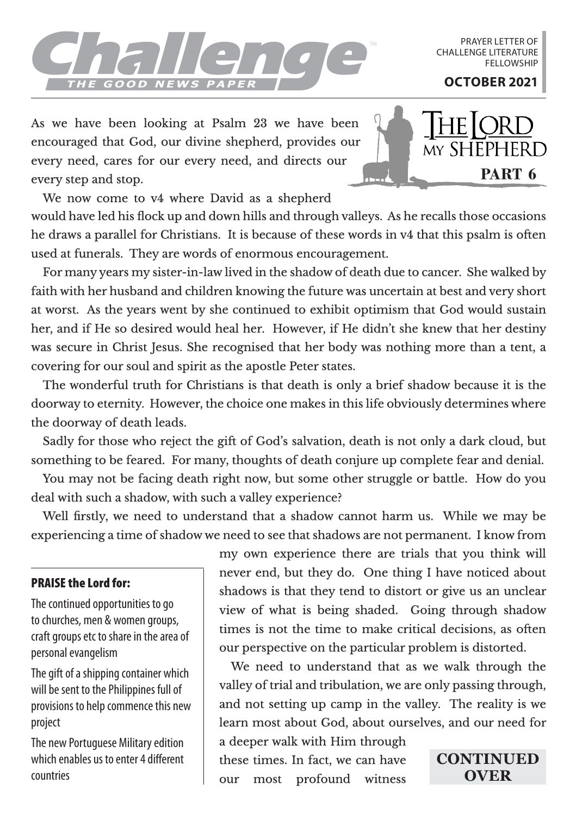## THE GOOD NEWS PAPER TWO CONSERUNCES

PRAYER LETTER OF CHALLENGE LITERATURE **FELLOWSHIP** 

As we have been looking at Psalm 23 we have been encouraged that God, our divine shepherd, provides our every need, cares for our every need, and directs our every step and stop.



We now come to v4 where David as a shepherd

would have led his flock up and down hills and through valleys. As he recalls those occasions he draws a parallel for Christians. It is because of these words in v4 that this psalm is often used at funerals. They are words of enormous encouragement.

For many years my sister-in-law lived in the shadow of death due to cancer. She walked by faith with her husband and children knowing the future was uncertain at best and very short at worst. As the years went by she continued to exhibit optimism that God would sustain her, and if He so desired would heal her. However, if He didn't she knew that her destiny was secure in Christ Jesus. She recognised that her body was nothing more than a tent, a covering for our soul and spirit as the apostle Peter states.

The wonderful truth for Christians is that death is only a brief shadow because it is the doorway to eternity. However, the choice one makes in this life obviously determines where the doorway of death leads.

Sadly for those who reject the gift of God's salvation, death is not only a dark cloud, but something to be feared. For many, thoughts of death conjure up complete fear and denial.

You may not be facing death right now, but some other struggle or battle. How do you deal with such a shadow, with such a valley experience?

Well firstly, we need to understand that a shadow cannot harm us. While we may be experiencing a time of shadow we need to see that shadows are not permanent. I know from

## PRAISE the Lord for:

The continued opportunities to go to churches, men & women groups, craft groups etc to share in the area of personal evangelism

The gift of a shipping container which will be sent to the Philippines full of provisions to help commence this new project

The new Portuguese Military edition which enables us to enter 4 different countries

my own experience there are trials that you think will never end, but they do. One thing I have noticed about shadows is that they tend to distort or give us an unclear view of what is being shaded. Going through shadow times is not the time to make critical decisions, as often our perspective on the particular problem is distorted.

We need to understand that as we walk through the valley of trial and tribulation, we are only passing through, and not setting up camp in the valley. The reality is we learn most about God, about ourselves, and our need for

a deeper walk with Him through these times. In fact, we can have our most profound witness

**CONTINUED OVER**